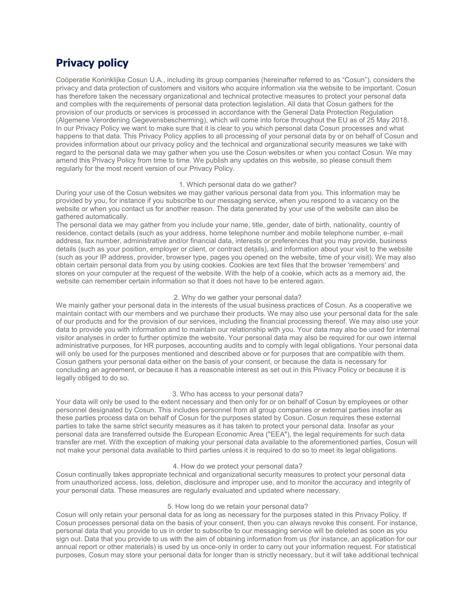# **Privacy policy**

Coöperatie Koninklijke Cosun U.A., including its group companies (hereinafter referred to as "Cosun"), considers the privacy and data protection of customers and visitors who acquire information via the website to be important. Cosun has therefore taken the necessary organizational and technical protective measures to protect your personal data and complies with the requirements of personal data protection legislation. All data that Cosun gathers for the provision of our products or services is processed in accordance with the General Data Protection Regulation (Algemene Verordening Gegevensbescherming), which will come into force throughout the EU as of 25 May 2018. In our Privacy Policy we want to make sure that it is clear to you which personal data Cosun processes and what happens to that data. This Privacy Policy applies to all processing of your personal data by or on behalf of Cosun and provides information about our privacy policy and the technical and organizational security measures we take with regard to the personal data we may gather when you use the Cosun websites or when you contact Cosun. We may amend this Privacy Policy from time to time. We publish any updates on this website, so please consult them regularly for the most recent version of our Privacy Policy.

### 1. Which personal data do we gather?

During your use of the Cosun websites we may gather various personal data from you. This information may be provided by you, for instance if you subscribe to our messaging service, when you respond to a vacancy on the website or when you contact us for another reason. The data generated by your use of the website can also be gathered automatically.

The personal data we may gather from you include your name, title, gender, date of birth, nationality, country of residence, contact details (such as your address, home telephone number and mobile telephone number, e-mail address, fax number, administrative and/or financial data, interests or preferences that you may provide, business details (such as your position, employer or client, or contract details), and information about your visit to the website (such as your IP address, provider, browser type, pages you opened on the website, time of your visit). We may also obtain certain personal data from you by using cookies. Cookies are text files that the browser 'remembers' and stores on your computer at the request of the website. With the help of a cookie, which acts as a memory aid, the website can remember certain information so that it does not have to be entered again.

## 2. Why do we gather your personal data?

We mainly gather your personal data in the interests of the usual business practices of Cosun. As a cooperative we maintain contact with our members and we purchase their products. We may also use your personal data for the sale of our products and for the provision of our services, including the financial processing thereof. We may also use your data to provide you with information and to maintain our relationship with you. Your data may also be used for internal visitor analyses in order to further optimize the website. Your personal data may also be required for our own internal administrative purposes, for HR purposes, accounting audits and to comply with legal obligations. Your personal data will only be used for the purposes mentioned and described above or for purposes that are compatible with them. Cosun gathers your personal data either on the basis of your consent, or because the data is necessary for concluding an agreement, or because it has a reasonable interest as set out in this Privacy Policy or because it is legally obliged to do so.

#### 3. Who has access to your personal data?

Your data will only be used to the extent necessary and then only for or on behalf of Cosun by employees or other personnel designated by Cosun. This includes personnel from all group companies or external parties insofar as these parties process data on behalf of Cosun for the purposes stated by Cosun. Cosun requires these external parties to take the same strict security measures as it has taken to protect your personal data. Insofar as your personal data are transferred outside the European Economic Area ("EEA"), the legal requirements for such data transfer are met. With the exception of making your personal data available to the aforementioned parties, Cosun will not make your personal data available to third parties unless it is required to do so to meet its legal obligations.

### 4. How do we protect your personal data?

Cosun continually takes appropriate technical and organizational security measures to protect your personal data from unauthorized access, loss, deletion, disclosure and improper use, and to monitor the accuracy and integrity of your personal data. These measures are regularly evaluated and updated where necessary.

## 5. How long do we retain your personal data?

Cosun will only retain your personal data for as long as necessary for the purposes stated in this Privacy Policy. If Cosun processes personal data on the basis of your consent, then you can always revoke this consent. For instance, personal data that you provide to us in order to subscribe to our messaging service will be deleted as soon as you sign out. Data that you provide to us with the aim of obtaining information from us (for instance, an application for our annual report or other materials) is used by us once-only in order to carry out your information request. For statistical purposes, Cosun may store your personal data for longer than is strictly necessary, but it will take additional technical